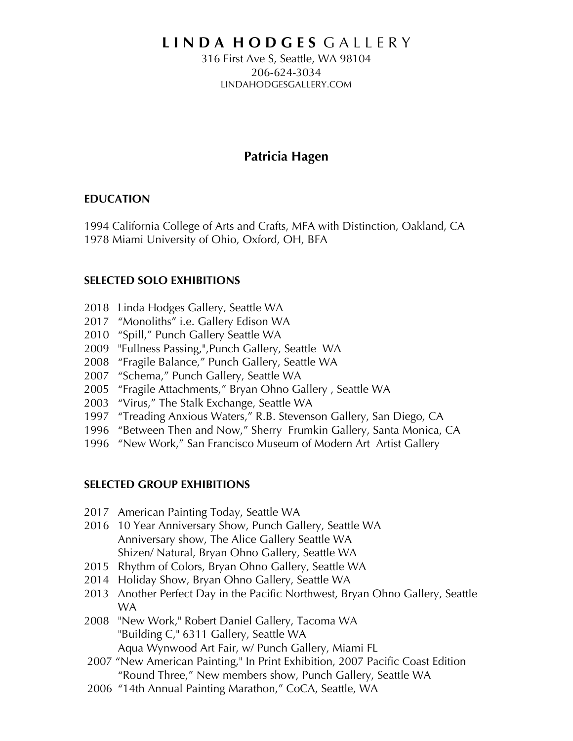# **L I N D A H O D G E S** G A L L E R Y

316 First Ave S, Seattle, WA 98104 206-624-3034 LINDAHODGESGALLERY.COM

# **Patricia Hagen**

#### **EDUCATION**

1994 California College of Arts and Crafts, MFA with Distinction, Oakland, CA 1978 Miami University of Ohio, Oxford, OH, BFA

### **SELECTED SOLO EXHIBITIONS**

- 2018 Linda Hodges Gallery, Seattle WA
- 2017 "Monoliths" i.e. Gallery Edison WA
- 2010 "Spill," Punch Gallery Seattle WA
- 2009 "Fullness Passing,",Punch Gallery, Seattle WA
- 2008 "Fragile Balance," Punch Gallery, Seattle WA
- 2007 "Schema," Punch Gallery, Seattle WA
- 2005 "Fragile Attachments," Bryan Ohno Gallery , Seattle WA
- 2003 "Virus," The Stalk Exchange, Seattle WA
- 1997 "Treading Anxious Waters," R.B. Stevenson Gallery, San Diego, CA
- 1996 "Between Then and Now," Sherry Frumkin Gallery, Santa Monica, CA
- 1996 "New Work," San Francisco Museum of Modern Art Artist Gallery

#### **SELECTED GROUP EXHIBITIONS**

- 2017 American Painting Today, Seattle WA
- 2016 10 Year Anniversary Show, Punch Gallery, Seattle WA Anniversary show, The Alice Gallery Seattle WA Shizen/ Natural, Bryan Ohno Gallery, Seattle WA
- 2015 Rhythm of Colors, Bryan Ohno Gallery, Seattle WA
- 2014 Holiday Show, Bryan Ohno Gallery, Seattle WA
- 2013 Another Perfect Day in the Pacific Northwest, Bryan Ohno Gallery, Seattle WA
- 2008 "New Work," Robert Daniel Gallery, Tacoma WA "Building C," 6311 Gallery, Seattle WA Aqua Wynwood Art Fair, w/ Punch Gallery, Miami FL
- 2007 "New American Painting," In Print Exhibition, 2007 Pacific Coast Edition "Round Three," New members show, Punch Gallery, Seattle WA
- 2006 "14th Annual Painting Marathon," CoCA, Seattle, WA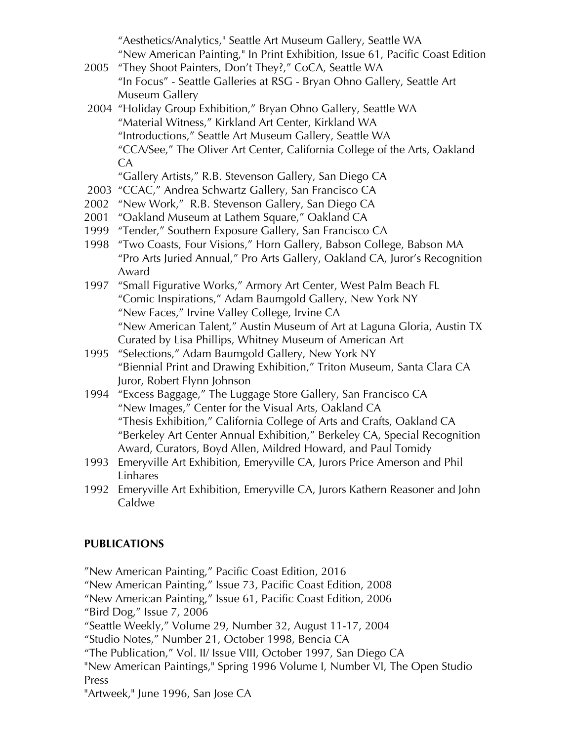"Aesthetics/Analytics," Seattle Art Museum Gallery, Seattle WA "New American Painting," In Print Exhibition, Issue 61, Pacific Coast Edition

- 2005 "They Shoot Painters, Don't They?," CoCA, Seattle WA "In Focus" - Seattle Galleries at RSG - Bryan Ohno Gallery, Seattle Art Museum Gallery
- 2004 "Holiday Group Exhibition," Bryan Ohno Gallery, Seattle WA "Material Witness," Kirkland Art Center, Kirkland WA "Introductions," Seattle Art Museum Gallery, Seattle WA "CCA/See," The Oliver Art Center, California College of the Arts, Oakland CA

"Gallery Artists," R.B. Stevenson Gallery, San Diego CA

- 2003 "CCAC," Andrea Schwartz Gallery, San Francisco CA
- 2002 "New Work," R.B. Stevenson Gallery, San Diego CA
- 2001 "Oakland Museum at Lathem Square," Oakland CA
- 1999 "Tender," Southern Exposure Gallery, San Francisco CA
- 1998 "Two Coasts, Four Visions," Horn Gallery, Babson College, Babson MA "Pro Arts Juried Annual," Pro Arts Gallery, Oakland CA, Juror's Recognition Award
- 1997 "Small Figurative Works," Armory Art Center, West Palm Beach FL "Comic Inspirations," Adam Baumgold Gallery, New York NY "New Faces," Irvine Valley College, Irvine CA "New American Talent," Austin Museum of Art at Laguna Gloria, Austin TX Curated by Lisa Phillips, Whitney Museum of American Art
- 1995 "Selections," Adam Baumgold Gallery, New York NY "Biennial Print and Drawing Exhibition," Triton Museum, Santa Clara CA Juror, Robert Flynn Johnson
- 1994 "Excess Baggage," The Luggage Store Gallery, San Francisco CA "New Images," Center for the Visual Arts, Oakland CA "Thesis Exhibition," California College of Arts and Crafts, Oakland CA "Berkeley Art Center Annual Exhibition," Berkeley CA, Special Recognition Award, Curators, Boyd Allen, Mildred Howard, and Paul Tomidy
- 1993 Emeryville Art Exhibition, Emeryville CA, Jurors Price Amerson and Phil Linhares
- 1992 Emeryville Art Exhibition, Emeryville CA, Jurors Kathern Reasoner and John Caldwe

## **PUBLICATIONS**

"New American Painting," Pacific Coast Edition, 2016 "New American Painting," Issue 73, Pacific Coast Edition, 2008 "New American Painting," Issue 61, Pacific Coast Edition, 2006 "Bird Dog," Issue 7, 2006 "Seattle Weekly," Volume 29, Number 32, August 11-17, 2004 "Studio Notes," Number 21, October 1998, Bencia CA "The Publication," Vol. II/ Issue VIII, October 1997, San Diego CA "New American Paintings," Spring 1996 Volume I, Number VI, The Open Studio Press "Artweek," June 1996, San Jose CA